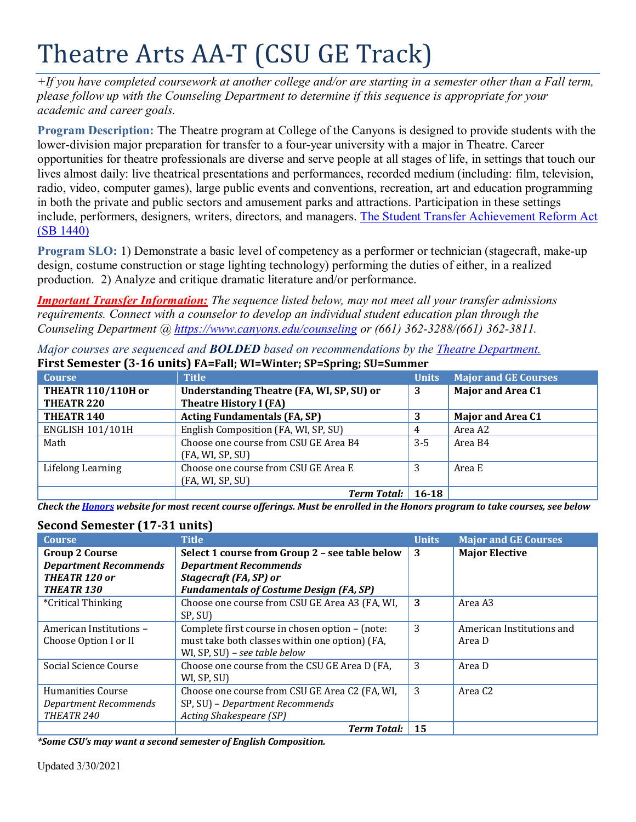# Theatre Arts AA-T (CSU GE Track)

*+If you have completed coursework at another college and/or are starting in a semester other than a Fall term, please follow up with the Counseling Department to determine if this sequence is appropriate for your academic and career goals.* 

**Program Description:** The Theatre program at College of the Canyons is designed to provide students with the lower-division major preparation for transfer to a four-year university with a major in Theatre. Career opportunities for theatre professionals are diverse and serve people at all stages of life, in settings that touch our lives almost daily: live theatrical presentations and performances, recorded medium (including: film, television, radio, video, computer games), large public events and conventions, recreation, art and education programming in both the private and public sectors and amusement parks and attractions. Participation in these settings include, performers, designers, writers, directors, and managers. [The Student Transfer Achievement Reform Act](https://www2.calstate.edu/apply/transfer/Pages/ccc-associate-degree-for-transfer.aspx)  [\(SB 1440\)](https://www2.calstate.edu/apply/transfer/Pages/ccc-associate-degree-for-transfer.aspx)

**Program SLO:** 1) Demonstrate a basic level of competency as a performer or technician (stagecraft, make-up design, costume construction or stage lighting technology) performing the duties of either, in a realized production. 2) Analyze and critique dramatic literature and/or performance.

*Important Transfer Information: The sequence listed below, may not meet all your transfer admissions requirements. Connect with a counselor to develop an individual student education plan through the Counseling Department @<https://www.canyons.edu/counseling> or (661) 362-3288/(661) 362-3811.*

| <b>Course</b>                                  | <b>Title</b>                                                         | <b>Units</b> | <b>Major and GE Courses</b> |
|------------------------------------------------|----------------------------------------------------------------------|--------------|-----------------------------|
| <b>THEATR 110/110H or</b>                      | Understanding Theatre (FA, WI, SP, SU) or                            | 3            | <b>Major and Area C1</b>    |
| THEATR <sub>220</sub><br>THEATR <sub>140</sub> | <b>Theatre History I (FA)</b><br><b>Acting Fundamentals (FA, SP)</b> | 3            | <b>Major and Area C1</b>    |
|                                                |                                                                      |              |                             |
| <b>ENGLISH 101/101H</b>                        | English Composition (FA, WI, SP, SU)                                 | 4            | Area A2                     |
| Math                                           | Choose one course from CSU GE Area B4                                | $3 - 5$      | Area B4                     |
|                                                | (FA, WI, SP, SU)                                                     |              |                             |
| Lifelong Learning                              | Choose one course from CSU GE Area E                                 | 3            | Area E                      |
|                                                | (FA, WI, SP, SU)                                                     |              |                             |
|                                                | <b>Term Total:</b>   $16-18$                                         |              |                             |

*Major courses are sequenced and BOLDED based on recommendations by the [Theatre Department.](https://www.canyons.edu/academics/theatre/)* **First Semester (3-16 units) FA=Fall; WI=Winter; SP=Spring; SU=Summer**

*Check the [Honors](https://www.canyons.edu/academics/honors/index.php) website for most recent course offerings. Must be enrolled in the Honors program to take courses, see below*

## **Second Semester (17-31 units)**

| <b>Course</b>                | <b>Title</b>                                    | <b>Units</b> | <b>Major and GE Courses</b> |
|------------------------------|-------------------------------------------------|--------------|-----------------------------|
| <b>Group 2 Course</b>        | Select 1 course from Group 2 - see table below  | 3            | <b>Major Elective</b>       |
| <b>Department Recommends</b> | <b>Department Recommends</b>                    |              |                             |
| THEATR 120 or                | Stagecraft (FA, SP) or                          |              |                             |
| <b>THEATR 130</b>            | <b>Fundamentals of Costume Design (FA, SP)</b>  |              |                             |
| <i>*Critical Thinking</i>    | Choose one course from CSU GE Area A3 (FA, WI,  | 3            | Area A3                     |
|                              | SP, SU)                                         |              |                             |
| American Institutions -      | Complete first course in chosen option - (note: | 3            | American Institutions and   |
| Choose Option I or II        | must take both classes within one option) (FA,  |              | Area D                      |
|                              | WI, SP, SU) - see table below                   |              |                             |
| Social Science Course        | Choose one course from the CSU GE Area D (FA,   | 3            | Area D                      |
|                              | WI, SP, SU)                                     |              |                             |
| <b>Humanities Course</b>     | Choose one course from CSU GE Area C2 (FA, WI,  | 3            | Area C <sub>2</sub>         |
| Department Recommends        | SP, SU) - Department Recommends                 |              |                             |
| THEATR 240                   | Acting Shakespeare (SP)                         |              |                             |
|                              | <b>Term Total:</b>                              | 15           |                             |

*\*Some CSU's may want a second semester of English Composition.*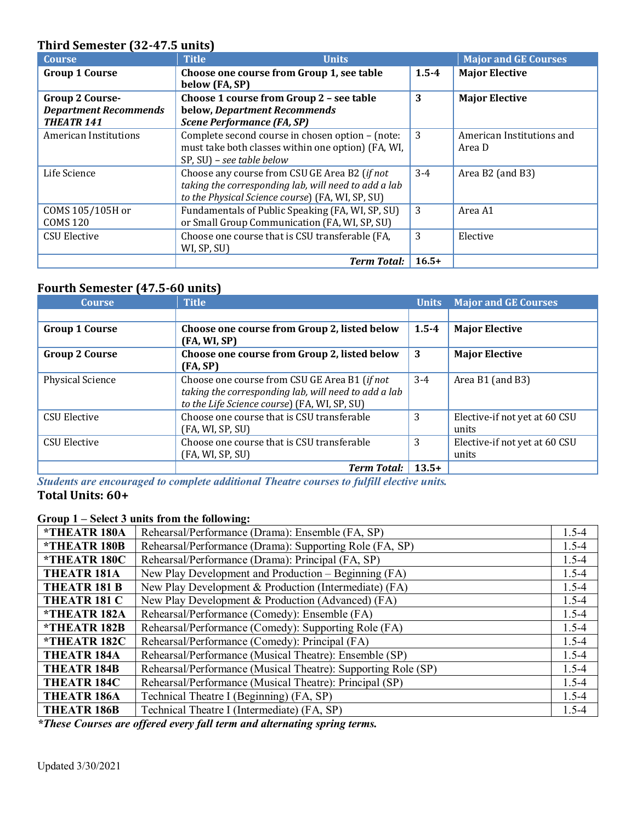# **Third Semester (32-47.5 units)**

| <b>Course</b>                                                               | <b>Title</b><br><b>Units</b>                                                                                                                              |           | <b>Major and GE Courses</b>         |
|-----------------------------------------------------------------------------|-----------------------------------------------------------------------------------------------------------------------------------------------------------|-----------|-------------------------------------|
| <b>Group 1 Course</b>                                                       | Choose one course from Group 1, see table<br>below (FA, SP)                                                                                               | $1.5 - 4$ | <b>Major Elective</b>               |
| <b>Group 2 Course-</b><br><b>Department Recommends</b><br><b>THEATR 141</b> | Choose 1 course from Group 2 - see table<br>below, Department Recommends<br><b>Scene Performance (FA, SP)</b>                                             | 3         | <b>Major Elective</b>               |
| American Institutions                                                       | Complete second course in chosen option - (note:<br>must take both classes within one option) (FA, WI,<br>SP, SU) - see table below                       | 3         | American Institutions and<br>Area D |
| Life Science                                                                | Choose any course from CSU GE Area B2 (if not<br>taking the corresponding lab, will need to add a lab<br>to the Physical Science course) (FA, WI, SP, SU) | $3-4$     | Area B2 (and B3)                    |
| COMS 105/105H or<br><b>COMS 120</b>                                         | Fundamentals of Public Speaking (FA, WI, SP, SU)<br>or Small Group Communication (FA, WI, SP, SU)                                                         | 3         | Area A1                             |
| <b>CSU Elective</b>                                                         | Choose one course that is CSU transferable (FA,<br>WI, SP, SU)                                                                                            | 3         | Elective                            |
|                                                                             | <b>Term Total:</b>                                                                                                                                        | $16.5+$   |                                     |

# **Fourth Semester (47.5-60 units)**

| <b>Course</b>           | <b>Title</b>                                                                                                                                          | <b>Units</b> | <b>Major and GE Courses</b>            |
|-------------------------|-------------------------------------------------------------------------------------------------------------------------------------------------------|--------------|----------------------------------------|
|                         |                                                                                                                                                       |              |                                        |
| <b>Group 1 Course</b>   | Choose one course from Group 2, listed below<br>(FA, WI, SP)                                                                                          | $1.5 - 4$    | <b>Major Elective</b>                  |
| <b>Group 2 Course</b>   | Choose one course from Group 2, listed below<br>(FA, SP)                                                                                              | 3            | <b>Major Elective</b>                  |
| <b>Physical Science</b> | Choose one course from CSU GE Area B1 (if not<br>taking the corresponding lab, will need to add a lab<br>to the Life Science course) (FA, WI, SP, SU) | $3-4$        | Area B1 (and B3)                       |
| <b>CSU Elective</b>     | Choose one course that is CSU transferable<br>(FA, WI, SP, SU)                                                                                        | 3            | Elective-if not yet at 60 CSU<br>units |
| <b>CSU Elective</b>     | Choose one course that is CSU transferable<br>(FA, WI, SP, SU)                                                                                        | 3            | Elective-if not yet at 60 CSU<br>units |
|                         | <b>Term Total:</b>                                                                                                                                    | $13.5+$      |                                        |

*Students are encouraged to complete additional Theatre courses to fulfill elective units.* **Total Units: 60+**

### **Group 1 – Select 3 units from the following:**

| *THEATR 180A               | Rehearsal/Performance (Drama): Ensemble (FA, SP)              | $1.5 - 4$ |
|----------------------------|---------------------------------------------------------------|-----------|
| <i><b>*THEATR 180B</b></i> | Rehearsal/Performance (Drama): Supporting Role (FA, SP)       | $1.5 - 4$ |
| *THEATR 180C               | Rehearsal/Performance (Drama): Principal (FA, SP)             | $1.5 - 4$ |
| <b>THEATR 181A</b>         | New Play Development and Production – Beginning (FA)          | $1.5 - 4$ |
| THEATR 181 B               | New Play Development & Production (Intermediate) (FA)         | $1.5 - 4$ |
| THEATR 181 C               | New Play Development & Production (Advanced) (FA)             | $1.5 - 4$ |
| *THEATR 182A               | Rehearsal/Performance (Comedy): Ensemble (FA)                 | $1.5 - 4$ |
| *THEATR 182B               | Rehearsal/Performance (Comedy): Supporting Role (FA)          | $1.5 - 4$ |
| *THEATR 182C               | Rehearsal/Performance (Comedy): Principal (FA)                | $1.5 - 4$ |
| THEATR <sub>184A</sub>     | Rehearsal/Performance (Musical Theatre): Ensemble (SP)        | $1.5 - 4$ |
| <b>THEATR 184B</b>         | Rehearsal/Performance (Musical Theatre): Supporting Role (SP) | $1.5 - 4$ |
| <b>THEATR 184C</b>         | Rehearsal/Performance (Musical Theatre): Principal (SP)       | $1.5 - 4$ |
| THEATR <sub>186A</sub>     | Technical Theatre I (Beginning) (FA, SP)                      | $1.5 - 4$ |
| <b>THEATR 186B</b>         | Technical Theatre I (Intermediate) (FA, SP)                   | $1.5 - 4$ |

*\*These Courses are offered every fall term and alternating spring terms.*